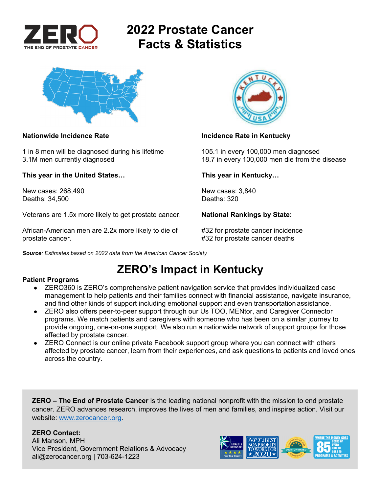

# **2022 Prostate Cancer Facts & Statistics**



1 in 8 men will be diagnosed during his lifetime 105.1 in every 100,000 men diagnosed

**This year in the United States… This year in Kentucky…** 

New cases: 268,490 New cases: 3,840<br>Deaths: 34.500 Deaths: 320 Deaths: 34,500

Veterans are 1.5x more likely to get prostate cancer. **National Rankings by State:** 

African-American men are 2.2x more likely to die of #32 for prostate cancer incidence prostate cancer. #32 for prostate cancer deaths





### **Nationwide Incidence Rate Incidence Rate in Kentucky Incidence Rate in Kentucky**

3.1M men currently diagnosed 18.7 in every 100,000 men die from the disease

## **ZERO's Impact in Kentucky**

### **Patient Programs**

- ZERO360 is ZERO's comprehensive patient navigation service that provides individualized case management to help patients and their families connect with financial assistance, navigate insurance, and find other kinds of support including emotional support and even transportation assistance.
- ZERO also offers peer-to-peer support through our Us TOO, MENtor, and Caregiver Connector programs. We match patients and caregivers with someone who has been on a similar journey to provide ongoing, one-on-one support. We also run a nationwide network of support groups for those affected by prostate cancer.
- ZERO Connect is our online private Facebook support group where you can connect with others affected by prostate cancer, learn from their experiences, and ask questions to patients and loved ones across the country.

**ZERO – The End of Prostate Cancer** is the leading national nonprofit with the mission to end prostate cancer. ZERO advances research, improves the lives of men and families, and inspires action. Visit our website: www.zerocancer.org.

### **ZERO Contact:**

Ali Manson, MPH Vice President, Government Relations & Advocacy ali@zerocancer.org | 703-624-1223